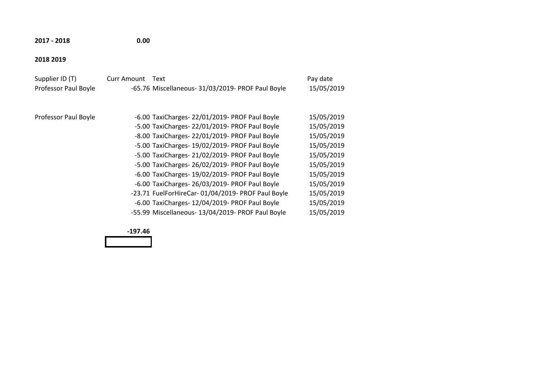**2017 - 2018 0.00**

#### **2018 2019**

| Supplier ID (T)<br>Professor Paul Boyle | <b>Curr Amount</b> | Text<br>-65.76 Miscellaneous- 31/03/2019- PROF Paul Boyle                                                                                                                                                                                                                                                                                                                                                    | Pay date<br>15/05/2019                                                                                       |
|-----------------------------------------|--------------------|--------------------------------------------------------------------------------------------------------------------------------------------------------------------------------------------------------------------------------------------------------------------------------------------------------------------------------------------------------------------------------------------------------------|--------------------------------------------------------------------------------------------------------------|
| Professor Paul Boyle                    |                    | -6.00 TaxiCharges- 22/01/2019- PROF Paul Boyle<br>-5.00 TaxiCharges- 22/01/2019- PROF Paul Boyle<br>-8.00 TaxiCharges- 22/01/2019- PROF Paul Boyle<br>-5.00 TaxiCharges- 19/02/2019- PROF Paul Boyle<br>-5.00 TaxiCharges- 21/02/2019- PROF Paul Boyle<br>-5.00 TaxiCharges- 26/02/2019- PROF Paul Boyle<br>-6.00 TaxiCharges- 19/02/2019- PROF Paul Boyle<br>-6.00 TaxiCharges- 26/03/2019- PROF Paul Boyle | 15/05/2019<br>15/05/2019<br>15/05/2019<br>15/05/2019<br>15/05/2019<br>15/05/2019<br>15/05/2019<br>15/05/2019 |
|                                         |                    | -23.71 FuelForHireCar-01/04/2019- PROF Paul Boyle<br>-6.00 TaxiCharges- 12/04/2019- PROF Paul Boyle<br>-55.99 Miscellaneous- 13/04/2019- PROF Paul Boyle                                                                                                                                                                                                                                                     | 15/05/2019<br>15/05/2019<br>15/05/2019                                                                       |

**-197.46**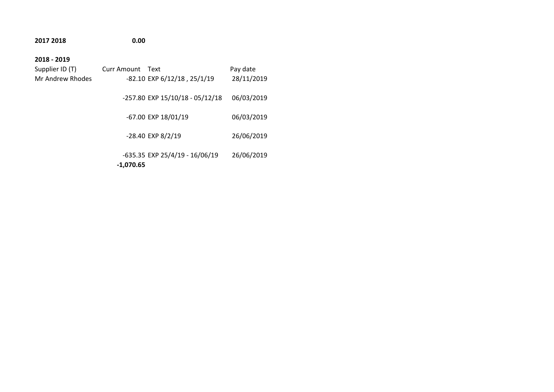# **2017 2018 0.00 2018 - 2019**  Supplier ID (T) Curr Amount Text Pay date Mr Andrew Rhodes -82.10 EXP 6/12/18, 25/1/19 28/11/2019 -257.80 EXP 15/10/18 - 05/12/18 06/03/2019 -67.00 EXP 18/01/19 06/03/2019 -28.40 EXP 8/2/19 26/06/2019 -635.35 EXP 25/4/19 - 16/06/19 26/06/2019 **-1,070.65**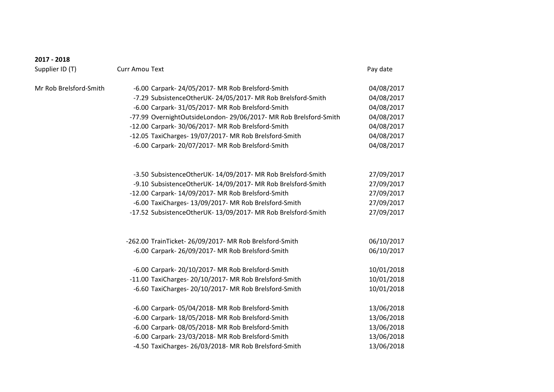| 2017 - 2018            |                                                                   |            |
|------------------------|-------------------------------------------------------------------|------------|
| Supplier ID (T)        | <b>Curr Amou Text</b>                                             | Pay date   |
| Mr Rob Brelsford-Smith | -6.00 Carpark- 24/05/2017- MR Rob Brelsford-Smith                 | 04/08/2017 |
|                        | -7.29 SubsistenceOtherUK- 24/05/2017- MR Rob Brelsford-Smith      | 04/08/2017 |
|                        | -6.00 Carpark- 31/05/2017- MR Rob Brelsford-Smith                 | 04/08/2017 |
|                        | -77.99 OvernightOutsideLondon- 29/06/2017- MR Rob Brelsford-Smith | 04/08/2017 |
|                        | -12.00 Carpark- 30/06/2017- MR Rob Brelsford-Smith                | 04/08/2017 |
|                        | -12.05 TaxiCharges- 19/07/2017- MR Rob Brelsford-Smith            | 04/08/2017 |
|                        | -6.00 Carpark- 20/07/2017- MR Rob Brelsford-Smith                 | 04/08/2017 |
|                        | -3.50 SubsistenceOtherUK- 14/09/2017- MR Rob Brelsford-Smith      | 27/09/2017 |
|                        | -9.10 SubsistenceOtherUK- 14/09/2017- MR Rob Brelsford-Smith      | 27/09/2017 |
|                        | -12.00 Carpark- 14/09/2017- MR Rob Brelsford-Smith                | 27/09/2017 |
|                        | -6.00 TaxiCharges- 13/09/2017- MR Rob Brelsford-Smith             | 27/09/2017 |
|                        | -17.52 SubsistenceOtherUK- 13/09/2017- MR Rob Brelsford-Smith     | 27/09/2017 |
|                        | -262.00 TrainTicket-26/09/2017- MR Rob Brelsford-Smith            | 06/10/2017 |
|                        | -6.00 Carpark- 26/09/2017- MR Rob Brelsford-Smith                 | 06/10/2017 |
|                        | -6.00 Carpark- 20/10/2017- MR Rob Brelsford-Smith                 | 10/01/2018 |
|                        | -11.00 TaxiCharges- 20/10/2017- MR Rob Brelsford-Smith            | 10/01/2018 |
|                        | -6.60 TaxiCharges- 20/10/2017- MR Rob Brelsford-Smith             | 10/01/2018 |
|                        | -6.00 Carpark-05/04/2018- MR Rob Brelsford-Smith                  | 13/06/2018 |
|                        | -6.00 Carpark- 18/05/2018- MR Rob Brelsford-Smith                 | 13/06/2018 |
|                        | -6.00 Carpark-08/05/2018- MR Rob Brelsford-Smith                  | 13/06/2018 |
|                        | -6.00 Carpark-23/03/2018- MR Rob Brelsford-Smith                  | 13/06/2018 |
|                        | -4.50 TaxiCharges- 26/03/2018- MR Rob Brelsford-Smith             | 13/06/2018 |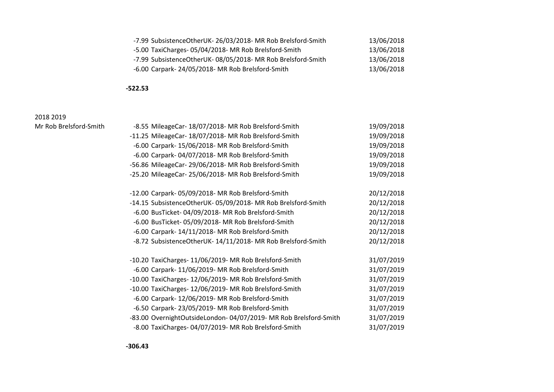| -7.99 SubsistenceOtherUK- 26/03/2018- MR Rob Brelsford-Smith | 13/06/2018 |
|--------------------------------------------------------------|------------|
| -5.00 TaxiCharges-05/04/2018- MR Rob Brelsford-Smith         | 13/06/2018 |
| -7.99 SubsistenceOtherUK-08/05/2018- MR Rob Brelsford-Smith  | 13/06/2018 |
| -6.00 Carpark-24/05/2018- MR Rob Brelsford-Smith             | 13/06/2018 |

#### **-522.53**

#### 2018 2019 Mr Rob Brelsford-Smith

| -8.55 MileageCar- 18/07/2018- MR Rob Brelsford-Smith              | 19/09/2018 |
|-------------------------------------------------------------------|------------|
| -11.25 MileageCar- 18/07/2018- MR Rob Brelsford-Smith             | 19/09/2018 |
| -6.00 Carpark- 15/06/2018- MR Rob Brelsford-Smith                 | 19/09/2018 |
| -6.00 Carpark-04/07/2018- MR Rob Brelsford-Smith                  | 19/09/2018 |
| -56.86 MileageCar- 29/06/2018- MR Rob Brelsford-Smith             | 19/09/2018 |
| -25.20 MileageCar-25/06/2018- MR Rob Brelsford-Smith              | 19/09/2018 |
| -12.00 Carpark-05/09/2018- MR Rob Brelsford-Smith                 | 20/12/2018 |
| -14.15 SubsistenceOtherUK- 05/09/2018- MR Rob Brelsford-Smith     | 20/12/2018 |
| -6.00 BusTicket-04/09/2018- MR Rob Brelsford-Smith                | 20/12/2018 |
| -6.00 BusTicket-05/09/2018- MR Rob Brelsford-Smith                | 20/12/2018 |
| -6.00 Carpark- 14/11/2018- MR Rob Brelsford-Smith                 | 20/12/2018 |
| -8.72 SubsistenceOtherUK- 14/11/2018- MR Rob Brelsford-Smith      | 20/12/2018 |
| -10.20 TaxiCharges- 11/06/2019- MR Rob Brelsford-Smith            | 31/07/2019 |
| -6.00 Carpark- 11/06/2019- MR Rob Brelsford-Smith                 | 31/07/2019 |
| -10.00 TaxiCharges- 12/06/2019- MR Rob Brelsford-Smith            | 31/07/2019 |
| -10.00 TaxiCharges- 12/06/2019- MR Rob Brelsford-Smith            | 31/07/2019 |
| -6.00 Carpark- 12/06/2019- MR Rob Brelsford-Smith                 | 31/07/2019 |
| -6.50 Carpark- 23/05/2019- MR Rob Brelsford-Smith                 | 31/07/2019 |
| -83.00 OvernightOutsideLondon- 04/07/2019- MR Rob Brelsford-Smith | 31/07/2019 |
| -8.00 TaxiCharges- 04/07/2019- MR Rob Brelsford-Smith             | 31/07/2019 |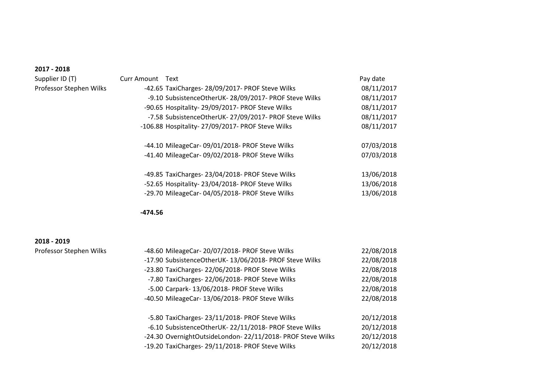Supplier ID (T) Curr Professor Stephen Wilks

| <sup>.</sup> Amount | Text                                                   | Pay date   |
|---------------------|--------------------------------------------------------|------------|
|                     | -42.65 TaxiCharges- 28/09/2017- PROF Steve Wilks       | 08/11/2017 |
|                     | -9.10 SubsistenceOtherUK-28/09/2017- PROF Steve Wilks  | 08/11/2017 |
|                     | -90.65 Hospitality-29/09/2017- PROF Steve Wilks        | 08/11/2017 |
|                     | -7.58 SubsistenceOtherUK- 27/09/2017- PROF Steve Wilks | 08/11/2017 |
|                     | -106.88 Hospitality- 27/09/2017- PROF Steve Wilks      | 08/11/2017 |
|                     |                                                        |            |
|                     | -44.10 MileageCar- 09/01/2018- PROF Steve Wilks        | 07/03/2018 |
|                     | -41.40 MileageCar-09/02/2018- PROF Steve Wilks         | 07/03/2018 |
|                     |                                                        |            |
|                     | -49.85 TaxiCharges-23/04/2018- PROF Steve Wilks        | 13/06/2018 |
|                     | -52.65 Hospitality-23/04/2018- PROF Steve Wilks        | 13/06/2018 |
|                     | -29.70 MileageCar- 04/05/2018- PROF Steve Wilks        | 13/06/2018 |
|                     |                                                        |            |

**-474.56**

#### **2018 - 2019**

| Professor Stephen Wilks |  |
|-------------------------|--|
|-------------------------|--|

| Professor Stephen Wilks | -48.60 MileageCar- 20/07/2018- PROF Steve Wilks            | 22/08/2018 |
|-------------------------|------------------------------------------------------------|------------|
|                         | -17.90 SubsistenceOtherUK- 13/06/2018- PROF Steve Wilks    | 22/08/2018 |
|                         | -23.80 TaxiCharges-22/06/2018- PROF Steve Wilks            | 22/08/2018 |
|                         | -7.80 TaxiCharges-22/06/2018- PROF Steve Wilks             | 22/08/2018 |
|                         | -5.00 Carpark- 13/06/2018- PROF Steve Wilks                | 22/08/2018 |
|                         | -40.50 MileageCar- 13/06/2018- PROF Steve Wilks            | 22/08/2018 |
|                         | -5.80 TaxiCharges-23/11/2018- PROF Steve Wilks             | 20/12/2018 |
|                         | -6.10 SubsistenceOtherUK- 22/11/2018- PROF Steve Wilks     | 20/12/2018 |
|                         | -24.30 OvernightOutsideLondon-22/11/2018- PROF Steve Wilks | 20/12/2018 |
|                         | -19.20 TaxiCharges-29/11/2018- PROF Steve Wilks            | 20/12/2018 |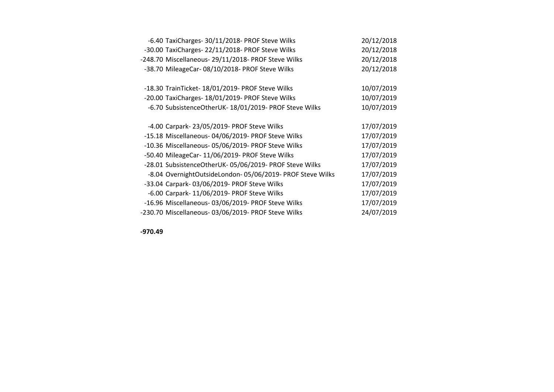| -6.40 TaxiCharges- 30/11/2018- PROF Steve Wilks           | 20/12/2018 |
|-----------------------------------------------------------|------------|
| -30.00 TaxiCharges-22/11/2018- PROF Steve Wilks           | 20/12/2018 |
| -248.70 Miscellaneous- 29/11/2018- PROF Steve Wilks       | 20/12/2018 |
| -38.70 MileageCar-08/10/2018- PROF Steve Wilks            | 20/12/2018 |
|                                                           |            |
| -18.30 TrainTicket- 18/01/2019- PROF Steve Wilks          | 10/07/2019 |
| -20.00 TaxiCharges- 18/01/2019- PROF Steve Wilks          | 10/07/2019 |
| -6.70 SubsistenceOtherUK- 18/01/2019- PROF Steve Wilks    | 10/07/2019 |
|                                                           |            |
| -4.00 Carpark- 23/05/2019- PROF Steve Wilks               | 17/07/2019 |
| -15.18 Miscellaneous- 04/06/2019- PROF Steve Wilks        | 17/07/2019 |
| -10.36 Miscellaneous- 05/06/2019- PROF Steve Wilks        | 17/07/2019 |
| -50.40 MileageCar- 11/06/2019- PROF Steve Wilks           | 17/07/2019 |
| -28.01 SubsistenceOtherUK- 05/06/2019- PROF Steve Wilks   | 17/07/2019 |
| -8.04 OvernightOutsideLondon-05/06/2019- PROF Steve Wilks | 17/07/2019 |
| -33.04 Carpark-03/06/2019- PROF Steve Wilks               | 17/07/2019 |
| -6.00 Carpark- 11/06/2019- PROF Steve Wilks               | 17/07/2019 |
| -16.96 Miscellaneous- 03/06/2019- PROF Steve Wilks        | 17/07/2019 |
| -230.70 Miscellaneous- 03/06/2019- PROF Steve Wilks       | 24/07/2019 |

**-970.49**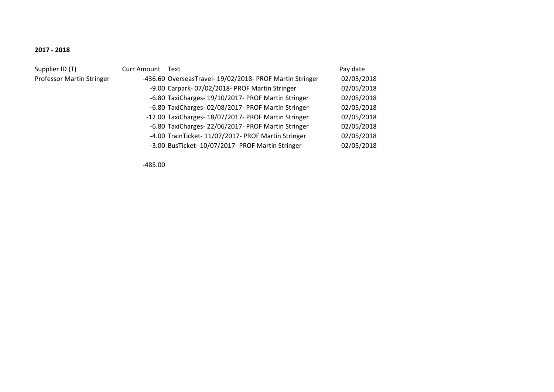#### Supplier ID (T) Professor Martin Stringer

| <b>Curr Amount</b> | Text                                                     | Pay date   |
|--------------------|----------------------------------------------------------|------------|
|                    | -436.60 OverseasTravel- 19/02/2018- PROF Martin Stringer | 02/05/2018 |
|                    | -9.00 Carpark-07/02/2018- PROF Martin Stringer           | 02/05/2018 |
|                    | -6.80 TaxiCharges- 19/10/2017- PROF Martin Stringer      | 02/05/2018 |
|                    | -6.80 TaxiCharges- 02/08/2017- PROF Martin Stringer      | 02/05/2018 |
|                    | -12.00 TaxiCharges- 18/07/2017- PROF Martin Stringer     | 02/05/2018 |
|                    | -6.80 TaxiCharges- 22/06/2017- PROF Martin Stringer      | 02/05/2018 |
|                    | -4.00 TrainTicket- 11/07/2017- PROF Martin Stringer      | 02/05/2018 |
|                    | -3.00 BusTicket- 10/07/2017- PROF Martin Stringer        | 02/05/2018 |

-485.00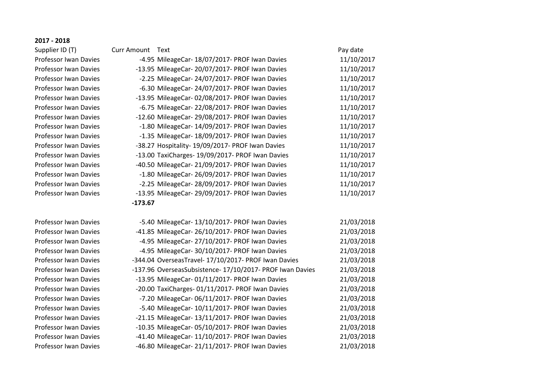Professor Iwan Davies Professor Iwan Davies Professor Iwan Davies Professor Iwan Davies Professor Iwan Davies Professor Iwan Davies Professor Iwan Davies Professor Iwan Davies Professor Iwan Davies Professor Iwan Davies Professor Iwan Davies Professor Iwan Davies Professor Iwan Davies -46.80 MileageCar- 21/11/2017- PROF Iwan Davies 21/03/2018

| Supplier ID (T)              | Curr Amount Text |                                                           | Pay date   |
|------------------------------|------------------|-----------------------------------------------------------|------------|
| <b>Professor Iwan Davies</b> |                  | -4.95 MileageCar- 18/07/2017- PROF Iwan Davies            | 11/10/2017 |
| Professor Iwan Davies        |                  | -13.95 MileageCar- 20/07/2017- PROF Iwan Davies           | 11/10/2017 |
| Professor Iwan Davies        |                  | -2.25 MileageCar-24/07/2017- PROF Iwan Davies             | 11/10/2017 |
| <b>Professor Iwan Davies</b> |                  | -6.30 MileageCar- 24/07/2017- PROF Iwan Davies            | 11/10/2017 |
| Professor Iwan Davies        |                  | -13.95 MileageCar- 02/08/2017- PROF Iwan Davies           | 11/10/2017 |
| Professor Iwan Davies        |                  | -6.75 MileageCar- 22/08/2017- PROF Iwan Davies            | 11/10/2017 |
| Professor Iwan Davies        |                  | -12.60 MileageCar- 29/08/2017- PROF Iwan Davies           | 11/10/2017 |
| <b>Professor Iwan Davies</b> |                  | -1.80 MileageCar- 14/09/2017- PROF Iwan Davies            | 11/10/2017 |
| <b>Professor Iwan Davies</b> |                  | -1.35 MileageCar- 18/09/2017- PROF Iwan Davies            | 11/10/2017 |
| Professor Iwan Davies        |                  | -38.27 Hospitality- 19/09/2017- PROF Iwan Davies          | 11/10/2017 |
| Professor Iwan Davies        |                  | -13.00 TaxiCharges- 19/09/2017- PROF Iwan Davies          | 11/10/2017 |
| Professor Iwan Davies        |                  | -40.50 MileageCar- 21/09/2017- PROF Iwan Davies           | 11/10/2017 |
| <b>Professor Iwan Davies</b> |                  | -1.80 MileageCar-26/09/2017- PROF Iwan Davies             | 11/10/2017 |
| <b>Professor Iwan Davies</b> |                  | -2.25 MileageCar-28/09/2017- PROF Iwan Davies             | 11/10/2017 |
| <b>Professor Iwan Davies</b> |                  | -13.95 MileageCar- 29/09/2017- PROF Iwan Davies           | 11/10/2017 |
|                              | $-173.67$        |                                                           |            |
|                              |                  |                                                           |            |
| <b>Professor Iwan Davies</b> |                  | -5.40 MileageCar- 13/10/2017- PROF Iwan Davies            | 21/03/2018 |
| <b>Professor Iwan Davies</b> |                  | -41.85 MileageCar- 26/10/2017- PROF Iwan Davies           | 21/03/2018 |
| Professor Iwan Davies        |                  | -4.95 MileageCar- 27/10/2017- PROF Iwan Davies            | 21/03/2018 |
| Professor Iwan Davies        |                  | -4.95 MileageCar- 30/10/2017- PROF Iwan Davies            | 21/03/2018 |
| <b>Professor Iwan Davies</b> |                  | -344.04 OverseasTravel- 17/10/2017- PROF Iwan Davies      | 21/03/2018 |
| <b>Professor Iwan Davies</b> |                  | -137.96 OverseasSubsistence- 17/10/2017- PROF Iwan Davies | 21/03/2018 |
| Professor Iwan Davies        |                  | -13.95 MileageCar- 01/11/2017- PROF Iwan Davies           | 21/03/2018 |
| Professor Iwan Davies        |                  | -20.00 TaxiCharges- 01/11/2017- PROF Iwan Davies          | 21/03/2018 |
| <b>Professor Iwan Davies</b> |                  | -7.20 MileageCar- 06/11/2017- PROF Iwan Davies            | 21/03/2018 |
| Professor Iwan Davies        |                  | -5.40 MileageCar- 10/11/2017- PROF Iwan Davies            | 21/03/2018 |
| <b>Professor Iwan Davies</b> |                  | -21.15 MileageCar- 13/11/2017- PROF Iwan Davies           | 21/03/2018 |
| Professor Iwan Davies        |                  | -10.35 MileageCar-05/10/2017- PROF Iwan Davies            | 21/03/2018 |
| Professor Iwan Davies        |                  | -41.40 MileageCar- 11/10/2017- PROF Iwan Davies           | 21/03/2018 |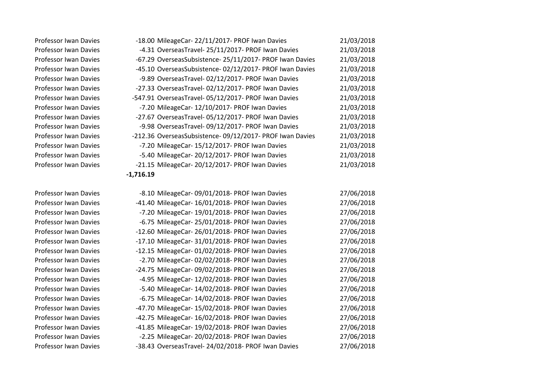Professor Iwan Davies Professor Iwan Davies Professor Iwan Davies Professor Iwan Davies Professor Iwan Davies Professor Iwan Davies Professor Iwan Davies Professor Iwan Davies Professor Iwan Davies Professor Iwan Davies Professor Iwan Davies Professor Iwan Davies Professor Iwan Davies Professor Iwan Davies

|             | -18.00 MileageCar- 22/11/2017- PROF Iwan Davies           | 21/03/2018 |
|-------------|-----------------------------------------------------------|------------|
|             | -4.31 OverseasTravel-25/11/2017- PROF Iwan Davies         | 21/03/2018 |
|             | -67.29 OverseasSubsistence- 25/11/2017- PROF Iwan Davies  | 21/03/2018 |
|             | -45.10 OverseasSubsistence- 02/12/2017- PROF Iwan Davies  | 21/03/2018 |
|             | -9.89 OverseasTravel- 02/12/2017- PROF Iwan Davies        | 21/03/2018 |
|             | -27.33 OverseasTravel- 02/12/2017- PROF Iwan Davies       | 21/03/2018 |
|             | -547.91 OverseasTravel- 05/12/2017- PROF Iwan Davies      | 21/03/2018 |
|             | -7.20 MileageCar- 12/10/2017- PROF Iwan Davies            | 21/03/2018 |
|             | -27.67 OverseasTravel- 05/12/2017- PROF Iwan Davies       | 21/03/2018 |
|             | -9.98 OverseasTravel- 09/12/2017- PROF Iwan Davies        | 21/03/2018 |
|             | -212.36 OverseasSubsistence- 09/12/2017- PROF Iwan Davies | 21/03/2018 |
|             | -7.20 MileageCar- 15/12/2017- PROF Iwan Davies            | 21/03/2018 |
|             | -5.40 MileageCar- 20/12/2017- PROF Iwan Davies            | 21/03/2018 |
|             | -21.15 MileageCar- 20/12/2017- PROF Iwan Davies           | 21/03/2018 |
| $-1,716.19$ |                                                           |            |

| <b>Professor Iwan Davies</b> | -8.10 MileageCar-09/01/2018- PROF Iwan Davies       | 27/06/2018 |
|------------------------------|-----------------------------------------------------|------------|
| <b>Professor Iwan Davies</b> | -41.40 MileageCar- 16/01/2018- PROF Iwan Davies     | 27/06/2018 |
| <b>Professor Iwan Davies</b> | -7.20 MileageCar- 19/01/2018- PROF Iwan Davies      | 27/06/2018 |
| <b>Professor Iwan Davies</b> | -6.75 MileageCar-25/01/2018- PROF Iwan Davies       | 27/06/2018 |
| <b>Professor Iwan Davies</b> | -12.60 MileageCar- 26/01/2018- PROF Iwan Davies     | 27/06/2018 |
| <b>Professor Iwan Davies</b> | -17.10 MileageCar- 31/01/2018- PROF Iwan Davies     | 27/06/2018 |
| <b>Professor Iwan Davies</b> | -12.15 MileageCar- 01/02/2018- PROF Iwan Davies     | 27/06/2018 |
| <b>Professor Iwan Davies</b> | -2.70 MileageCar-02/02/2018- PROF Iwan Davies       | 27/06/2018 |
| <b>Professor Iwan Davies</b> | -24.75 MileageCar-09/02/2018- PROF Iwan Davies      | 27/06/2018 |
| <b>Professor Iwan Davies</b> | -4.95 MileageCar- 12/02/2018- PROF Iwan Davies      | 27/06/2018 |
| <b>Professor Iwan Davies</b> | -5.40 MileageCar- 14/02/2018- PROF Iwan Davies      | 27/06/2018 |
| <b>Professor Iwan Davies</b> | -6.75 MileageCar- 14/02/2018- PROF Iwan Davies      | 27/06/2018 |
| <b>Professor Iwan Davies</b> | -47.70 MileageCar- 15/02/2018- PROF Iwan Davies     | 27/06/2018 |
| <b>Professor Iwan Davies</b> | -42.75 MileageCar- 16/02/2018- PROF Iwan Davies     | 27/06/2018 |
| <b>Professor Iwan Davies</b> | -41.85 MileageCar- 19/02/2018- PROF Iwan Davies     | 27/06/2018 |
| <b>Professor Iwan Davies</b> | -2.25 MileageCar-20/02/2018- PROF Iwan Davies       | 27/06/2018 |
| Professor Iwan Davies        | -38.43 OverseasTravel- 24/02/2018- PROF Iwan Davies | 27/06/2018 |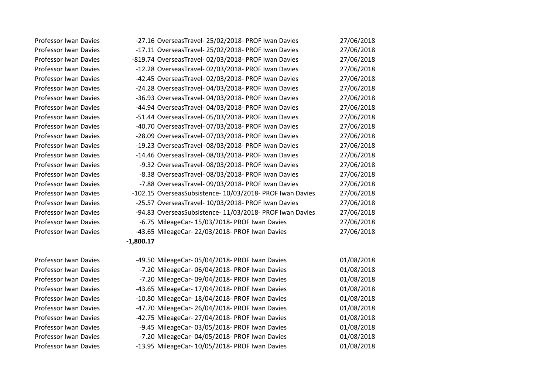| Professor Iwan Davies |
|-----------------------|
| Professor Iwan Davies |
| Professor Iwan Davies |
| Professor Iwan Davies |
| Professor Iwan Davies |
| Professor Iwan Davies |
| Professor Iwan Davies |
| Professor Iwan Davies |
| Professor Iwan Davies |
| Professor Iwan Davies |
| Professor Iwan Davies |
| Professor Iwan Davies |
| Professor Iwan Davies |
| Professor Iwan Davies |
| Professor Iwan Davies |
| Professor Iwan Davies |
| Professor Iwan Davies |
| Professor Iwan Davies |
| Professor Iwan Davies |
| Professor Iwan Davies |
| Professor Iwan Davies |
|                       |

| Professor Iwan Davies |             | -27.16 OverseasTravel- 25/02/2018- PROF Iwan Davies       | 27/06/2018 |
|-----------------------|-------------|-----------------------------------------------------------|------------|
| Professor Iwan Davies |             | -17.11 OverseasTravel- 25/02/2018- PROF Iwan Davies       | 27/06/2018 |
| Professor Iwan Davies |             | -819.74 OverseasTravel- 02/03/2018- PROF Iwan Davies      | 27/06/2018 |
| Professor Iwan Davies |             | -12.28 OverseasTravel- 02/03/2018- PROF Iwan Davies       | 27/06/2018 |
| Professor Iwan Davies |             | -42.45 OverseasTravel- 02/03/2018- PROF Iwan Davies       | 27/06/2018 |
| Professor Iwan Davies |             | -24.28 OverseasTravel- 04/03/2018- PROF Iwan Davies       | 27/06/2018 |
| Professor Iwan Davies |             | -36.93 OverseasTravel- 04/03/2018- PROF Iwan Davies       | 27/06/2018 |
| Professor Iwan Davies |             | -44.94 OverseasTravel- 04/03/2018- PROF Iwan Davies       | 27/06/2018 |
| Professor Iwan Davies |             | -51.44 OverseasTravel- 05/03/2018- PROF Iwan Davies       | 27/06/2018 |
| Professor Iwan Davies |             | -40.70 OverseasTravel- 07/03/2018- PROF Iwan Davies       | 27/06/2018 |
| Professor Iwan Davies |             | -28.09 OverseasTravel- 07/03/2018- PROF Iwan Davies       | 27/06/2018 |
| Professor Iwan Davies |             | -19.23 OverseasTravel- 08/03/2018- PROF Iwan Davies       | 27/06/2018 |
| Professor Iwan Davies |             | -14.46 OverseasTravel- 08/03/2018- PROF Iwan Davies       | 27/06/2018 |
| Professor Iwan Davies |             | -9.32 OverseasTravel-08/03/2018- PROF Iwan Davies         | 27/06/2018 |
| Professor Iwan Davies |             | -8.38 OverseasTravel-08/03/2018- PROF Iwan Davies         | 27/06/2018 |
| Professor Iwan Davies |             | -7.88 OverseasTravel- 09/03/2018- PROF Iwan Davies        | 27/06/2018 |
| Professor Iwan Davies |             | -102.15 OverseasSubsistence- 10/03/2018- PROF Iwan Davies | 27/06/2018 |
| Professor Iwan Davies |             | -25.57 OverseasTravel- 10/03/2018- PROF Iwan Davies       | 27/06/2018 |
| Professor Iwan Davies |             | -94.83 OverseasSubsistence- 11/03/2018- PROF Iwan Davies  | 27/06/2018 |
| Professor Iwan Davies |             | -6.75 MileageCar- 15/03/2018- PROF Iwan Davies            | 27/06/2018 |
| Professor Iwan Davies |             | -43.65 MileageCar- 22/03/2018- PROF Iwan Davies           | 27/06/2018 |
|                       | $-1,800.17$ |                                                           |            |

| Professor Iwan Davies        | -49.50 MileageCar-05/04/2018- PROF Iwan Davies  | 01/08/2018 |
|------------------------------|-------------------------------------------------|------------|
| Professor Iwan Davies        | -7.20 MileageCar- 06/04/2018- PROF Iwan Davies  | 01/08/2018 |
| Professor Iwan Davies        | -7.20 MileageCar-09/04/2018- PROF Iwan Davies   | 01/08/2018 |
| <b>Professor Iwan Davies</b> | -43.65 MileageCar- 17/04/2018- PROF Iwan Davies | 01/08/2018 |
| Professor Iwan Davies        | -10.80 MileageCar- 18/04/2018- PROF Iwan Davies | 01/08/2018 |
| Professor Iwan Davies        | -47.70 MileageCar- 26/04/2018- PROF Iwan Davies | 01/08/2018 |
| Professor Iwan Davies        | -42.75 MileageCar- 27/04/2018- PROF Iwan Davies | 01/08/2018 |
| Professor Iwan Davies        | -9.45 MileageCar-03/05/2018- PROF Iwan Davies   | 01/08/2018 |
| Professor Iwan Davies        | -7.20 MileageCar-04/05/2018- PROF Iwan Davies   | 01/08/2018 |
| Professor Iwan Davies        | -13.95 MileageCar- 10/05/2018- PROF Iwan Davies | 01/08/2018 |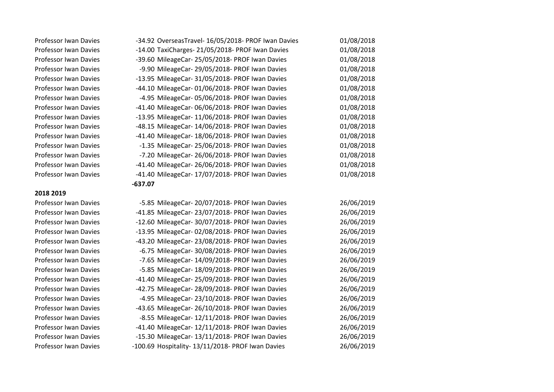#### **2018 2019**

| <b>Professor Iwan Davies</b> | -34.92 OverseasTravel- 16/05/2018- PROF Iwan Davies | 01/08/2018 |
|------------------------------|-----------------------------------------------------|------------|
| <b>Professor Iwan Davies</b> | -14.00 TaxiCharges-21/05/2018- PROF Iwan Davies     | 01/08/2018 |
| <b>Professor Iwan Davies</b> | -39.60 MileageCar- 25/05/2018- PROF Iwan Davies     | 01/08/2018 |
| <b>Professor Iwan Davies</b> | -9.90 MileageCar-29/05/2018- PROF Iwan Davies       | 01/08/2018 |
| <b>Professor Iwan Davies</b> | -13.95 MileageCar- 31/05/2018- PROF Iwan Davies     | 01/08/2018 |
| <b>Professor Iwan Davies</b> | -44.10 MileageCar-01/06/2018- PROF Iwan Davies      | 01/08/2018 |
| <b>Professor Iwan Davies</b> | -4.95 MileageCar-05/06/2018- PROF Iwan Davies       | 01/08/2018 |
| <b>Professor Iwan Davies</b> | -41.40 MileageCar-06/06/2018- PROF Iwan Davies      | 01/08/2018 |
| <b>Professor Iwan Davies</b> | -13.95 MileageCar- 11/06/2018- PROF Iwan Davies     | 01/08/2018 |
| <b>Professor Iwan Davies</b> | -48.15 MileageCar- 14/06/2018- PROF Iwan Davies     | 01/08/2018 |
| <b>Professor Iwan Davies</b> | -41.40 MileageCar- 18/06/2018- PROF Iwan Davies     | 01/08/2018 |
| <b>Professor Iwan Davies</b> | -1.35 MileageCar- 25/06/2018- PROF Iwan Davies      | 01/08/2018 |
| <b>Professor Iwan Davies</b> | -7.20 MileageCar- 26/06/2018- PROF Iwan Davies      | 01/08/2018 |
| <b>Professor Iwan Davies</b> | -41.40 MileageCar- 26/06/2018- PROF Iwan Davies     | 01/08/2018 |
| <b>Professor Iwan Davies</b> | -41.40 MileageCar- 17/07/2018- PROF Iwan Davies     | 01/08/2018 |
|                              | $-637.07$                                           |            |
| 2018 2019                    |                                                     |            |

Professor Iwan Davies -5.85 MileageCar- 20/07/2018- PROF Iwan Davies 26/06/2019 Professor Iwan Davies -41.85 MileageCar- 23/07/2018- PROF Iwan Davies 26/06/2019 Professor Iwan Davies -12.60 MileageCar- 30/07/2018- PROF Iwan Davies 26/06/2019 Professor Iwan Davies -13.95 MileageCar- 02/08/2018- PROF Iwan Davies 26/06/2019 Professor Iwan Davies -43.20 MileageCar- 23/08/2018- PROF Iwan Davies 26/06/2019 Professor Iwan Davies -6.75 MileageCar- 30/08/2018- PROF Iwan Davies 26/06/2019 Professor Iwan Davies -7.65 MileageCar- 14/09/2018- PROF Iwan Davies 26/06/2019 Professor Iwan Davies -5.85 MileageCar- 18/09/2018- PROF Iwan Davies 26/06/2019 Professor Iwan Davies -41.40 MileageCar- 25/09/2018- PROF Iwan Davies 26/06/2019 Professor Iwan Davies -42.75 MileageCar- 28/09/2018- PROF Iwan Davies 26/06/2019 Professor Iwan Davies -4.95 MileageCar- 23/10/2018- PROF Iwan Davies 26/06/2019 Professor Iwan Davies -43.65 MileageCar- 26/10/2018- PROF Iwan Davies 26/06/2019 Professor Iwan Davies -8.55 MileageCar- 12/11/2018- PROF Iwan Davies 26/06/2019 Professor Iwan Davies -41.40 MileageCar- 12/11/2018- PROF Iwan Davies 26/06/2019 Professor Iwan Davies -15.30 MileageCar- 13/11/2018- PROF Iwan Davies 26/06/2019 Professor Iwan Davies -100.69 Hospitality- 13/11/2018- PROF Iwan Davies 26/06/2019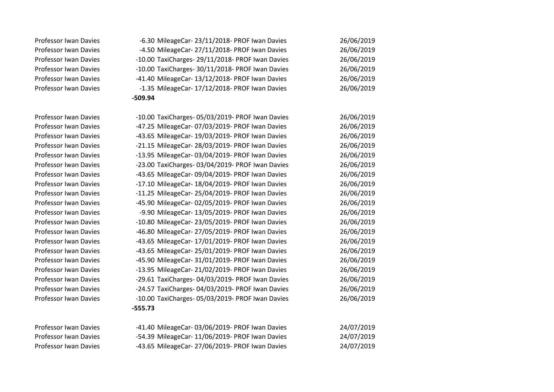Professor Iwan Davies Professor Iwan Davies -43.65 MileageCar- 27/06/2019- PROF Iwan Davies 24/07/2019

| Professor Iwan Davies        | -6.30 MileageCar- 23/11/2018- PROF Iwan Davies   | 26/06/2019 |
|------------------------------|--------------------------------------------------|------------|
| Professor Iwan Davies        | -4.50 MileageCar- 27/11/2018- PROF Iwan Davies   | 26/06/2019 |
| Professor Iwan Davies        | -10.00 TaxiCharges- 29/11/2018- PROF Iwan Davies | 26/06/2019 |
| <b>Professor Iwan Davies</b> | -10.00 TaxiCharges- 30/11/2018- PROF Iwan Davies | 26/06/2019 |
| <b>Professor Iwan Davies</b> | -41.40 MileageCar- 13/12/2018- PROF Iwan Davies  | 26/06/2019 |
| Professor Iwan Davies        | -1.35 MileageCar- 17/12/2018- PROF Iwan Davies   | 26/06/2019 |
|                              | $-509.94$                                        |            |
| Professor Iwan Davies        | -10.00 TaxiCharges- 05/03/2019- PROF Iwan Davies | 26/06/2019 |
| Professor Iwan Davies        | -47.25 MileageCar- 07/03/2019- PROF Iwan Davies  | 26/06/2019 |
| Professor Iwan Davies        | -43.65 MileageCar- 19/03/2019- PROF Iwan Davies  | 26/06/2019 |
| Professor Iwan Davies        | -21.15 MileageCar- 28/03/2019- PROF Iwan Davies  | 26/06/2019 |
| Professor Iwan Davies        | -13.95 MileageCar- 03/04/2019- PROF Iwan Davies  | 26/06/2019 |
| Professor Iwan Davies        | -23.00 TaxiCharges- 03/04/2019- PROF Iwan Davies | 26/06/2019 |
| Professor Iwan Davies        | -43.65 MileageCar- 09/04/2019- PROF Iwan Davies  | 26/06/2019 |
| Professor Iwan Davies        | -17.10 MileageCar- 18/04/2019- PROF Iwan Davies  | 26/06/2019 |
| Professor Iwan Davies        | -11.25 MileageCar- 25/04/2019- PROF Iwan Davies  | 26/06/2019 |
| Professor Iwan Davies        | -45.90 MileageCar- 02/05/2019- PROF Iwan Davies  | 26/06/2019 |
| Professor Iwan Davies        | -9.90 MileageCar- 13/05/2019- PROF Iwan Davies   | 26/06/2019 |
| Professor Iwan Davies        | -10.80 MileageCar- 23/05/2019- PROF Iwan Davies  | 26/06/2019 |
| Professor Iwan Davies        | -46.80 MileageCar- 27/05/2019- PROF Iwan Davies  | 26/06/2019 |
| Professor Iwan Davies        | -43.65 MileageCar- 17/01/2019- PROF Iwan Davies  | 26/06/2019 |
| Professor Iwan Davies        | -43.65 MileageCar- 25/01/2019- PROF Iwan Davies  | 26/06/2019 |
| Professor Iwan Davies        | -45.90 MileageCar- 31/01/2019- PROF Iwan Davies  | 26/06/2019 |
| Professor Iwan Davies        | -13.95 MileageCar- 21/02/2019- PROF Iwan Davies  | 26/06/2019 |
| Professor Iwan Davies        | -29.61 TaxiCharges- 04/03/2019- PROF Iwan Davies | 26/06/2019 |
| Professor Iwan Davies        | -24.57 TaxiCharges- 04/03/2019- PROF Iwan Davies | 26/06/2019 |
| Professor Iwan Davies        | -10.00 TaxiCharges- 05/03/2019- PROF Iwan Davies | 26/06/2019 |
|                              | $-555.73$                                        |            |
| Professor Iwan Davies        | -41.40 MileageCar- 03/06/2019- PROF Iwan Davies  | 24/07/2019 |
| Professor Iwan Davies        | -54.39 MileageCar- 11/06/2019- PROF Iwan Davies  | 24/07/2019 |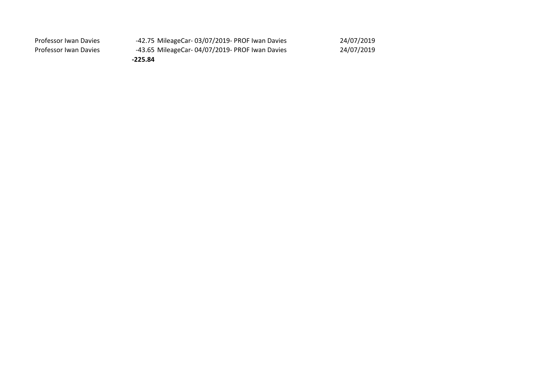| Professor Iwan Davies | -42.75 MileageCar-03/07/2019- PROF Iwan Davies | 24/07/2019 |
|-----------------------|------------------------------------------------|------------|
| Professor Iwan Davies | -43.65 MileageCar-04/07/2019- PROF Iwan Davies | 24/07/2019 |
|                       | $-225.84$                                      |            |